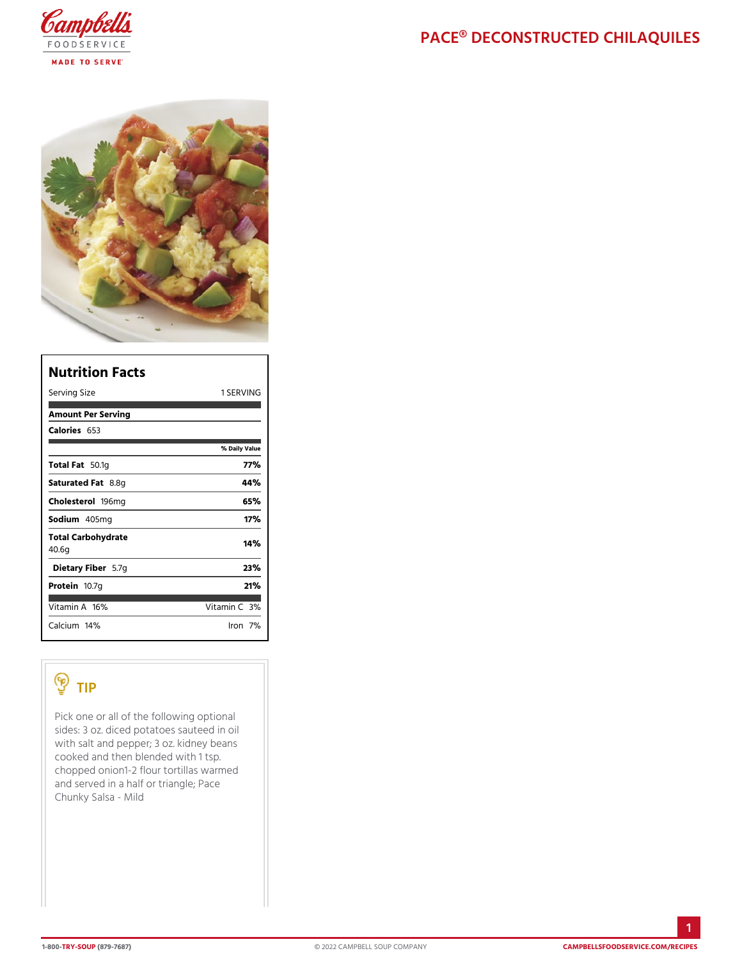| Nutrition Facts             |                |
|-----------------------------|----------------|
| Serving Size                | 1 SERVING      |
| Amount Per Serving          |                |
| Calorie6s53                 |                |
|                             | % Daily Vallue |
| Total F5a0.1g               | 77%            |
| Saturated 8F.&8tg           | 44%            |
| Choleste fo9l6 mg           | 65%            |
| Sodium405mg                 | 17%            |
| Total Carbohydrate<br>40.6g | 14%            |
| Dietary F5ib7egr            | 23%            |
| Proteifi0.7g                | 21%            |
| Vitamin1A6%                 | Vitamin3O%     |
| $C$ alciumt $4\%$           | lron7%         |

## TIP

Pick one or all of the following optional sides: 3 oz. diced potatoes sauteed in oil with salt and pepper;  $3$  oz. kidney beans cooked and then blended with 1 tsp. chopped onion1-2 flour tortillas warmed and served in a half or triangle; Pace Chunky Salsa - Mild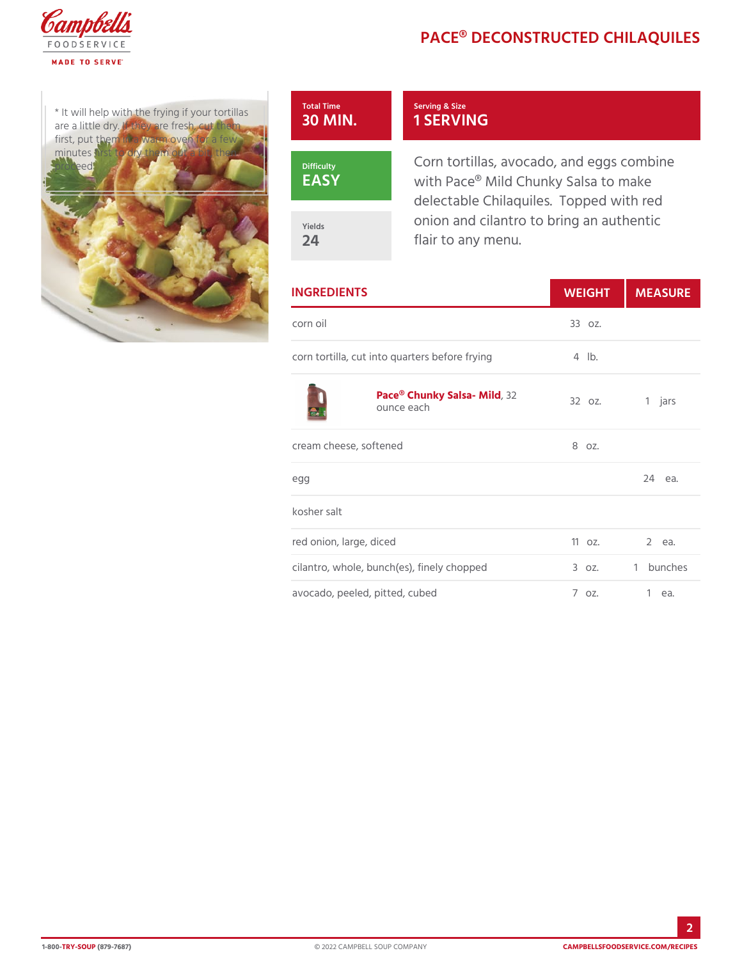# PACE® DECONSTRUCTED C

 $*$  It will help with the frying if are a little dry. If they are fre first, put them in a warm oven minutes first to dry them out a proceed



### Serving & Size 1 SERVING

Corn tortillas, avocado, and eg with Pace® Mild Chunky Salsa t delectable Chilaquiles. Topped onion and cilantro to bring an a flair to any menu.

| <b>INGREDIENTS</b>                                              |       | WEIGH MEASU |  |
|-----------------------------------------------------------------|-------|-------------|--|
| corn oil                                                        | 330z. |             |  |
| corn tortilla, cut into quarters beford fliby.ing               |       |             |  |
| Pace® Chunky Sal3a - Milg <sub>2 oz.</sub> 1 jars<br>ounce each |       |             |  |
| cream cheese, softened                                          | 8 oz. |             |  |
| e g g                                                           |       | $24$ ea.    |  |
| kosher salt                                                     |       |             |  |
| red onion, large, diced                                         |       | 11oz. 2 ea. |  |
| cilantro, whole, bunch (es), finely ch®oppzed 1 bunches         |       |             |  |
| avocado, peeled, pitted, cubed 7 oz. 1 ea.                      |       |             |  |